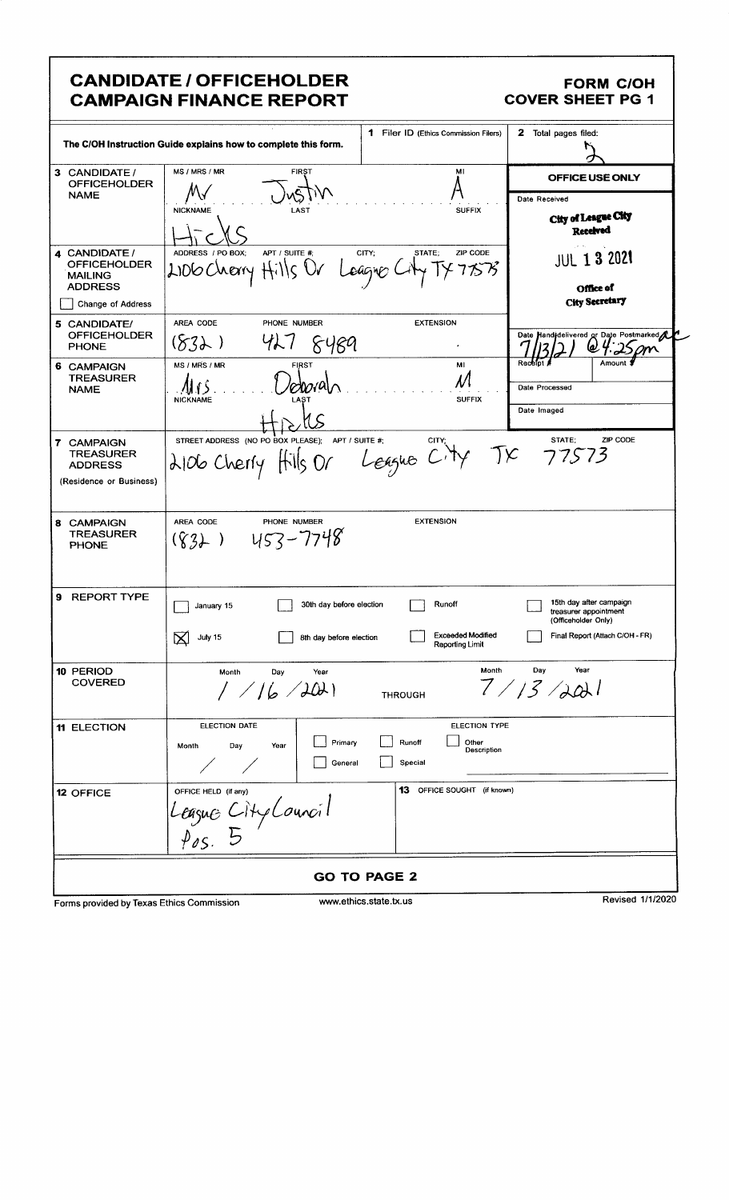## **CANDIDATE / OFFICEHOLDER CAMPAIGN FINANCE REPORT**

## **FORM C/OH COVER SHEET PG 1**

|                                                                                         | The C/OH Instruction Guide explains how to complete this form. | 1 Filer ID (Ethics Commission Filers)       | 2 Total pages filed:                                                    |  |
|-----------------------------------------------------------------------------------------|----------------------------------------------------------------|---------------------------------------------|-------------------------------------------------------------------------|--|
| 3 CANDIDATE /<br><b>OFFICEHOLDER</b>                                                    | MS / MRS / MR<br><b>FIRST</b>                                  | MI                                          | OFFICE USE ONLY                                                         |  |
| <b>NAME</b>                                                                             |                                                                |                                             | Date Received                                                           |  |
|                                                                                         | <b>NICKNAME</b><br>LAST                                        | <b>SUFFIX</b>                               | City of League City                                                     |  |
|                                                                                         |                                                                |                                             | <b>Received</b>                                                         |  |
| 4 CANDIDATE /                                                                           | ADDRESS / PO BOX:<br>APT / SUITE #:                            | ZIP CODE<br>CITY;<br>STATE;                 |                                                                         |  |
| <b>OFFICEHOLDER</b>                                                                     | 2006 Cherry Hills Ur                                           | Leagner Lil                                 | <b>JUL 1 3 2021</b>                                                     |  |
| <b>MAILING</b><br><b>ADDRESS</b>                                                        |                                                                | Office of                                   |                                                                         |  |
| Change of Address                                                                       |                                                                | City Secretary                              |                                                                         |  |
| 5 CANDIDATE/                                                                            | AREA CODE<br>PHONE NUMBER                                      | <b>EXTENSION</b>                            |                                                                         |  |
| <b>OFFICEHOLDER</b>                                                                     | (8.3)<br>427<br>8489                                           |                                             | Date Handidelivered or Date Postmarked                                  |  |
| <b>PHONE</b>                                                                            |                                                                |                                             | Receip<br>Amount                                                        |  |
| 6 CAMPAIGN<br><b>TREASURER</b>                                                          | MS / MRS / MR<br><b>FIRST</b>                                  | MI                                          |                                                                         |  |
| <b>NAME</b>                                                                             | roomali<br><b>NICKNAME</b>                                     | N<br><b>SUFFIX</b>                          | Date Processed                                                          |  |
|                                                                                         | LAST                                                           |                                             | Date Imaged                                                             |  |
|                                                                                         |                                                                |                                             |                                                                         |  |
| 7 CAMPAIGN                                                                              | STREET ADDRESS (NO PO BOX PLEASE); APT / SUITE #,              | CITY;                                       | ZIP CODE<br>STATE:                                                      |  |
| <b>TREASURER</b><br><b>ADDRESS</b>                                                      | 2106 Cherry Hills Or League City TX 77573                      |                                             |                                                                         |  |
| (Residence or Business)                                                                 |                                                                |                                             |                                                                         |  |
|                                                                                         |                                                                |                                             |                                                                         |  |
| 8 CAMPAIGN<br><b>TREASURER</b><br><b>PHONE</b>                                          | AREA CODE<br>PHONE NUMBER<br>453-7748<br>$(\zeta_3)$           | <b>EXTENSION</b>                            |                                                                         |  |
| 9 REPORT TYPE                                                                           | 30th day before election<br>January 15                         | Runoff                                      | 15th day after campaign<br>treasurer appointment<br>(Officeholder Only) |  |
|                                                                                         | $\boxtimes$<br>July 15<br>8th day before election              | <b>Exceeded Modified</b><br>Reporting Limit | Final Report (Attach C/OH - FR)                                         |  |
| 10 PERIOD                                                                               | Month<br>Day<br>Year                                           | Month                                       | Year<br>Day                                                             |  |
| <b>COVERED</b>                                                                          | 1/16/201                                                       | <b>THROUGH</b>                              | 7/13/201                                                                |  |
|                                                                                         |                                                                |                                             |                                                                         |  |
| <b>11 ELECTION</b>                                                                      | ELECTION DATE                                                  | <b>ELECTION TYPE</b>                        |                                                                         |  |
|                                                                                         | Primary<br>Year<br>Month<br>Day                                | Runoff<br>Other<br>Description              |                                                                         |  |
|                                                                                         | General                                                        | Special                                     |                                                                         |  |
| 12 OFFICE                                                                               | OFFICE HELD (if any)                                           | 13 OFFICE SOUGHT (if known)                 |                                                                         |  |
|                                                                                         |                                                                |                                             |                                                                         |  |
|                                                                                         | League City Louncil                                            |                                             |                                                                         |  |
| <b>GO TO PAGE 2</b>                                                                     |                                                                |                                             |                                                                         |  |
|                                                                                         |                                                                |                                             |                                                                         |  |
| Revised 1/1/2020<br>www.ethics.state.tx.us<br>Forms provided by Texas Ethics Commission |                                                                |                                             |                                                                         |  |